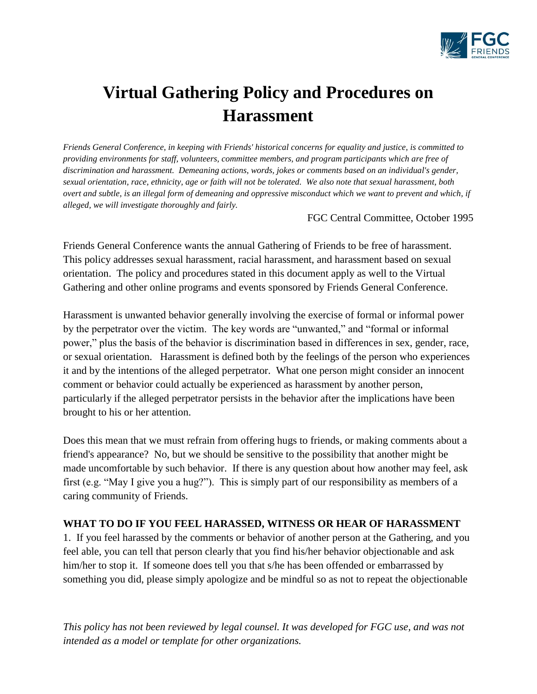

# **Virtual Gathering Policy and Procedures on Harassment**

*Friends General Conference, in keeping with Friends' historical concerns for equality and justice, is committed to providing environments for staff, volunteers, committee members, and program participants which are free of discrimination and harassment. Demeaning actions, words, jokes or comments based on an individual's gender, sexual orientation, race, ethnicity, age or faith will not be tolerated. We also note that sexual harassment, both overt and subtle, is an illegal form of demeaning and oppressive misconduct which we want to prevent and which, if alleged, we will investigate thoroughly and fairly.*

FGC Central Committee, October 1995

Friends General Conference wants the annual Gathering of Friends to be free of harassment. This policy addresses sexual harassment, racial harassment, and harassment based on sexual orientation. The policy and procedures stated in this document apply as well to the Virtual Gathering and other online programs and events sponsored by Friends General Conference.

Harassment is unwanted behavior generally involving the exercise of formal or informal power by the perpetrator over the victim. The key words are "unwanted," and "formal or informal power," plus the basis of the behavior is discrimination based in differences in sex, gender, race, or sexual orientation. Harassment is defined both by the feelings of the person who experiences it and by the intentions of the alleged perpetrator. What one person might consider an innocent comment or behavior could actually be experienced as harassment by another person, particularly if the alleged perpetrator persists in the behavior after the implications have been brought to his or her attention.

Does this mean that we must refrain from offering hugs to friends, or making comments about a friend's appearance? No, but we should be sensitive to the possibility that another might be made uncomfortable by such behavior. If there is any question about how another may feel, ask first (e.g. "May I give you a hug?"). This is simply part of our responsibility as members of a caring community of Friends.

### **WHAT TO DO IF YOU FEEL HARASSED, WITNESS OR HEAR OF HARASSMENT**

1. If you feel harassed by the comments or behavior of another person at the Gathering, and you feel able, you can tell that person clearly that you find his/her behavior objectionable and ask him/her to stop it. If someone does tell you that s/he has been offended or embarrassed by something you did, please simply apologize and be mindful so as not to repeat the objectionable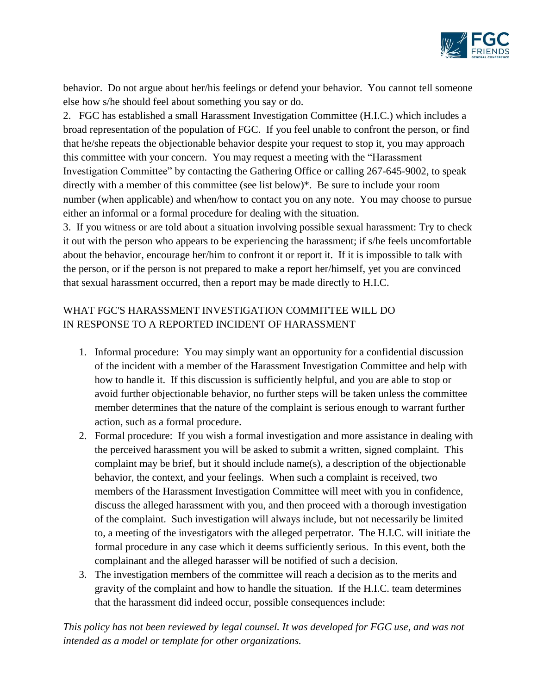

behavior. Do not argue about her/his feelings or defend your behavior. You cannot tell someone else how s/he should feel about something you say or do.

2. FGC has established a small Harassment Investigation Committee (H.I.C.) which includes a broad representation of the population of FGC. If you feel unable to confront the person, or find that he/she repeats the objectionable behavior despite your request to stop it, you may approach this committee with your concern. You may request a meeting with the "Harassment Investigation Committee" by contacting the Gathering Office or calling 267-645-9002, to speak directly with a member of this committee (see list below)\*. Be sure to include your room number (when applicable) and when/how to contact you on any note. You may choose to pursue either an informal or a formal procedure for dealing with the situation.

3. If you witness or are told about a situation involving possible sexual harassment: Try to check it out with the person who appears to be experiencing the harassment; if s/he feels uncomfortable about the behavior, encourage her/him to confront it or report it. If it is impossible to talk with the person, or if the person is not prepared to make a report her/himself, yet you are convinced that sexual harassment occurred, then a report may be made directly to H.I.C.

# WHAT FGC'S HARASSMENT INVESTIGATION COMMITTEE WILL DO IN RESPONSE TO A REPORTED INCIDENT OF HARASSMENT

- 1. Informal procedure: You may simply want an opportunity for a confidential discussion of the incident with a member of the Harassment Investigation Committee and help with how to handle it. If this discussion is sufficiently helpful, and you are able to stop or avoid further objectionable behavior, no further steps will be taken unless the committee member determines that the nature of the complaint is serious enough to warrant further action, such as a formal procedure.
- 2. Formal procedure: If you wish a formal investigation and more assistance in dealing with the perceived harassment you will be asked to submit a written, signed complaint. This complaint may be brief, but it should include name(s), a description of the objectionable behavior, the context, and your feelings. When such a complaint is received, two members of the Harassment Investigation Committee will meet with you in confidence, discuss the alleged harassment with you, and then proceed with a thorough investigation of the complaint. Such investigation will always include, but not necessarily be limited to, a meeting of the investigators with the alleged perpetrator. The H.I.C. will initiate the formal procedure in any case which it deems sufficiently serious. In this event, both the complainant and the alleged harasser will be notified of such a decision.
- 3. The investigation members of the committee will reach a decision as to the merits and gravity of the complaint and how to handle the situation. If the H.I.C. team determines that the harassment did indeed occur, possible consequences include: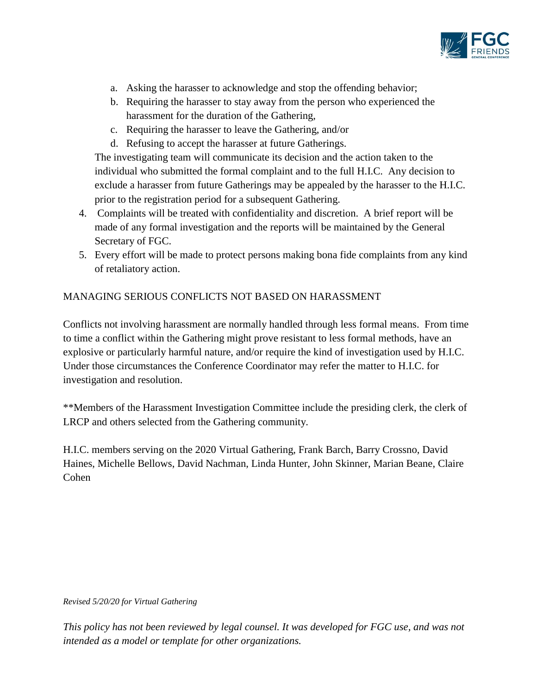

- a. Asking the harasser to acknowledge and stop the offending behavior;
- b. Requiring the harasser to stay away from the person who experienced the harassment for the duration of the Gathering,
- c. Requiring the harasser to leave the Gathering, and/or
- d. Refusing to accept the harasser at future Gatherings.

The investigating team will communicate its decision and the action taken to the individual who submitted the formal complaint and to the full H.I.C. Any decision to exclude a harasser from future Gatherings may be appealed by the harasser to the H.I.C. prior to the registration period for a subsequent Gathering.

- 4. Complaints will be treated with confidentiality and discretion. A brief report will be made of any formal investigation and the reports will be maintained by the General Secretary of FGC.
- 5. Every effort will be made to protect persons making bona fide complaints from any kind of retaliatory action.

## MANAGING SERIOUS CONFLICTS NOT BASED ON HARASSMENT

Conflicts not involving harassment are normally handled through less formal means. From time to time a conflict within the Gathering might prove resistant to less formal methods, have an explosive or particularly harmful nature, and/or require the kind of investigation used by H.I.C. Under those circumstances the Conference Coordinator may refer the matter to H.I.C. for investigation and resolution.

\*\*Members of the Harassment Investigation Committee include the presiding clerk, the clerk of LRCP and others selected from the Gathering community.

H.I.C. members serving on the 2020 Virtual Gathering, Frank Barch, Barry Crossno, David Haines, Michelle Bellows, David Nachman, Linda Hunter, John Skinner, Marian Beane, Claire Cohen

#### *Revised 5/20/20 for Virtual Gathering*